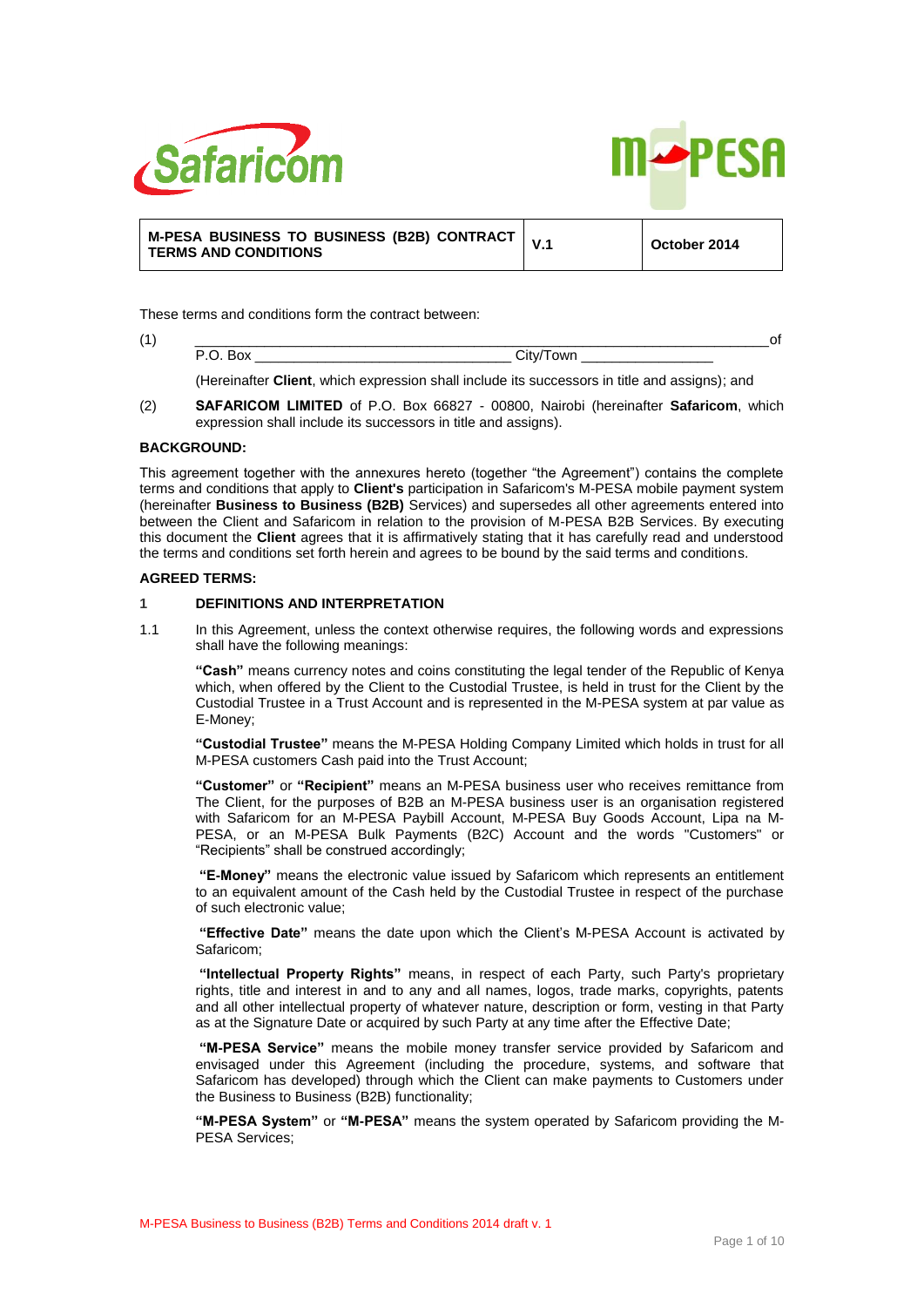



| M-PESA BUSINESS TO BUSINESS (B2B) CONTRACT $\vert$ V.1 |  | October 2014 |
|--------------------------------------------------------|--|--------------|
| <b>TERMS AND CONDITIONS</b>                            |  |              |

These terms and conditions form the contract between:

(Hereinafter **Client**, which expression shall include its successors in title and assigns); and

(2) **SAFARICOM LIMITED** of P.O. Box 66827 - 00800, Nairobi (hereinafter **Safaricom**, which expression shall include its successors in title and assigns).

## **BACKGROUND:**

This agreement together with the annexures hereto (together "the Agreement") contains the complete terms and conditions that apply to **Client's** participation in Safaricom's M-PESA mobile payment system (hereinafter **Business to Business (B2B)** Services) and supersedes all other agreements entered into between the Client and Safaricom in relation to the provision of M-PESA B2B Services. By executing this document the **Client** agrees that it is affirmatively stating that it has carefully read and understood the terms and conditions set forth herein and agrees to be bound by the said terms and conditions.

## **AGREED TERMS:**

## **1 DEFINITIONS AND INTERPRETATION**

1.1 In this Agreement, unless the context otherwise requires, the following words and expressions shall have the following meanings:

**"Cash"** means currency notes and coins constituting the legal tender of the Republic of Kenya which, when offered by the Client to the Custodial Trustee, is held in trust for the Client by the Custodial Trustee in a Trust Account and is represented in the M-PESA system at par value as E-Money;

**"Custodial Trustee"** means the M-PESA Holding Company Limited which holds in trust for all M-PESA customers Cash paid into the Trust Account;

**"Customer"** or **"Recipient"** means an M-PESA business user who receives remittance from The Client, for the purposes of B2B an M-PESA business user is an organisation registered with Safaricom for an M-PESA Paybill Account, M-PESA Buy Goods Account, Lipa na M-PESA, or an M-PESA Bulk Payments (B2C) Account and the words "Customers" or "Recipients" shall be construed accordingly;

**"E-Money"** means the electronic value issued by Safaricom which represents an entitlement to an equivalent amount of the Cash held by the Custodial Trustee in respect of the purchase of such electronic value;

**"Effective Date"** means the date upon which the Client's M-PESA Account is activated by Safaricom;

**"Intellectual Property Rights"** means, in respect of each Party, such Party's proprietary rights, title and interest in and to any and all names, logos, trade marks, copyrights, patents and all other intellectual property of whatever nature, description or form, vesting in that Party as at the Signature Date or acquired by such Party at any time after the Effective Date;

**"M-PESA Service"** means the mobile money transfer service provided by Safaricom and envisaged under this Agreement (including the procedure, systems, and software that Safaricom has developed) through which the Client can make payments to Customers under the Business to Business (B2B) functionality;

**"M-PESA System"** or **"M-PESA"** means the system operated by Safaricom providing the M-PESA Services;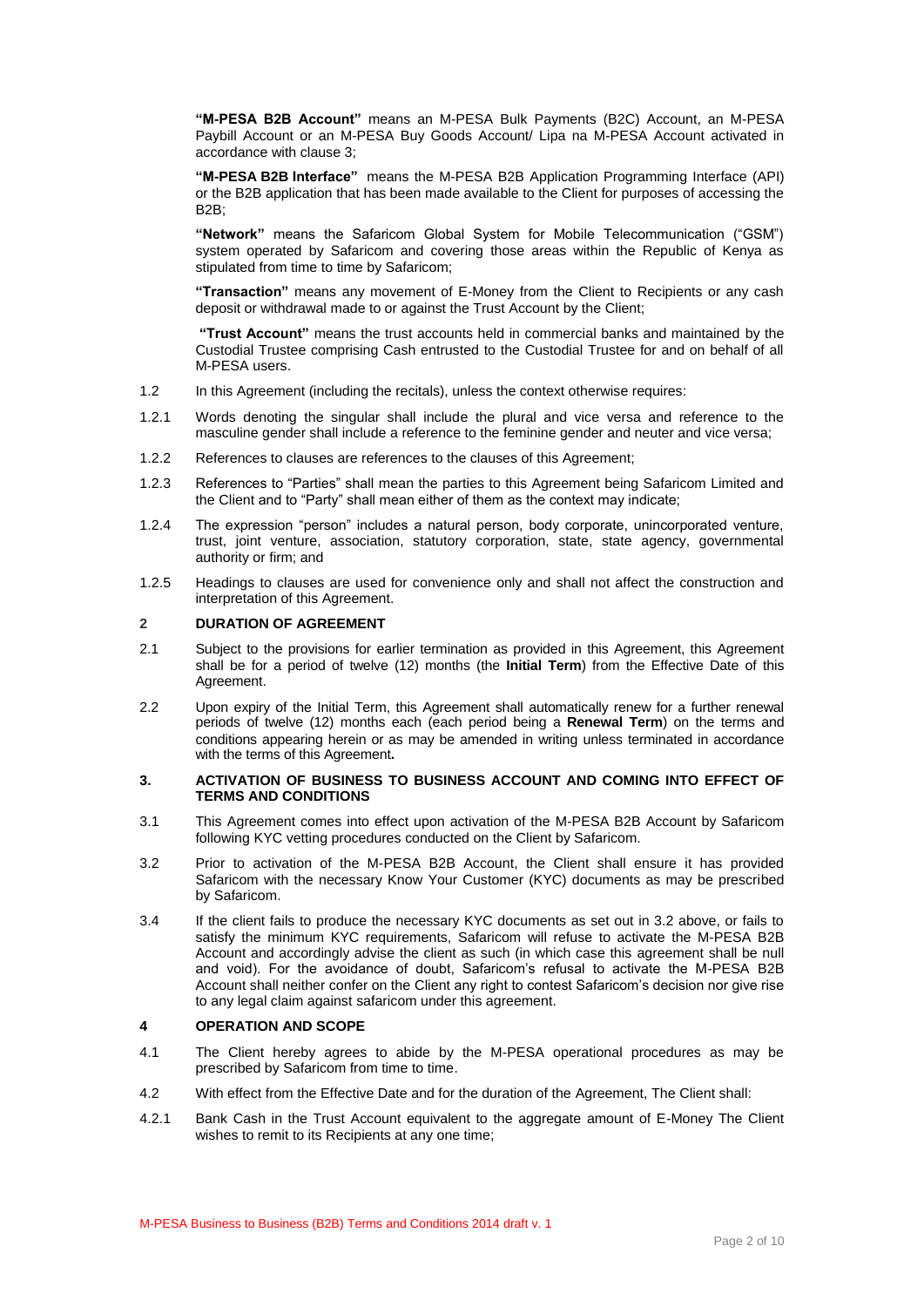**"M-PESA B2B Account"** means an M-PESA Bulk Payments (B2C) Account, an M-PESA Paybill Account or an M-PESA Buy Goods Account/ Lipa na M-PESA Account activated in accordance with clause 3;

**"M-PESA B2B Interface"** means the M-PESA B2B Application Programming Interface (API) or the B2B application that has been made available to the Client for purposes of accessing the B<sub>2</sub>B;

**"Network"** means the Safaricom Global System for Mobile Telecommunication ("GSM") system operated by Safaricom and covering those areas within the Republic of Kenya as stipulated from time to time by Safaricom;

**"Transaction"** means any movement of E-Money from the Client to Recipients or any cash deposit or withdrawal made to or against the Trust Account by the Client;

**"Trust Account"** means the trust accounts held in commercial banks and maintained by the Custodial Trustee comprising Cash entrusted to the Custodial Trustee for and on behalf of all M-PESA users.

- 1.2 In this Agreement (including the recitals), unless the context otherwise requires:
- 1.2.1 Words denoting the singular shall include the plural and vice versa and reference to the masculine gender shall include a reference to the feminine gender and neuter and vice versa;
- 1.2.2 References to clauses are references to the clauses of this Agreement;
- 1.2.3 References to "Parties" shall mean the parties to this Agreement being Safaricom Limited and the Client and to "Party" shall mean either of them as the context may indicate;
- 1.2.4 The expression "person" includes a natural person, body corporate, unincorporated venture, trust, joint venture, association, statutory corporation, state, state agency, governmental authority or firm; and
- 1.2.5 Headings to clauses are used for convenience only and shall not affect the construction and interpretation of this Agreement.

## **2 DURATION OF AGREEMENT**

- 2.1 Subject to the provisions for earlier termination as provided in this Agreement, this Agreement shall be for a period of twelve (12) months (the **Initial Term**) from the Effective Date of this Agreement.
- 2.2 Upon expiry of the Initial Term, this Agreement shall automatically renew for a further renewal periods of twelve (12) months each (each period being a **Renewal Term**) on the terms and conditions appearing herein or as may be amended in writing unless terminated in accordance with the terms of this Agreement**.**

#### **3. ACTIVATION OF BUSINESS TO BUSINESS ACCOUNT AND COMING INTO EFFECT OF TERMS AND CONDITIONS**

- 3.1 This Agreement comes into effect upon activation of the M-PESA B2B Account by Safaricom following KYC vetting procedures conducted on the Client by Safaricom.
- 3.2 Prior to activation of the M-PESA B2B Account, the Client shall ensure it has provided Safaricom with the necessary Know Your Customer (KYC) documents as may be prescribed by Safaricom.
- 3.4 If the client fails to produce the necessary KYC documents as set out in 3.2 above, or fails to satisfy the minimum KYC requirements, Safaricom will refuse to activate the M-PESA B2B Account and accordingly advise the client as such (in which case this agreement shall be null and void). For the avoidance of doubt, Safaricom's refusal to activate the M-PESA B2B Account shall neither confer on the Client any right to contest Safaricom's decision nor give rise to any legal claim against safaricom under this agreement.

## **4 OPERATION AND SCOPE**

- 4.1 The Client hereby agrees to abide by the M-PESA operational procedures as may be prescribed by Safaricom from time to time.
- 4.2 With effect from the Effective Date and for the duration of the Agreement, The Client shall:
- 4.2.1 Bank Cash in the Trust Account equivalent to the aggregate amount of E-Money The Client wishes to remit to its Recipients at any one time: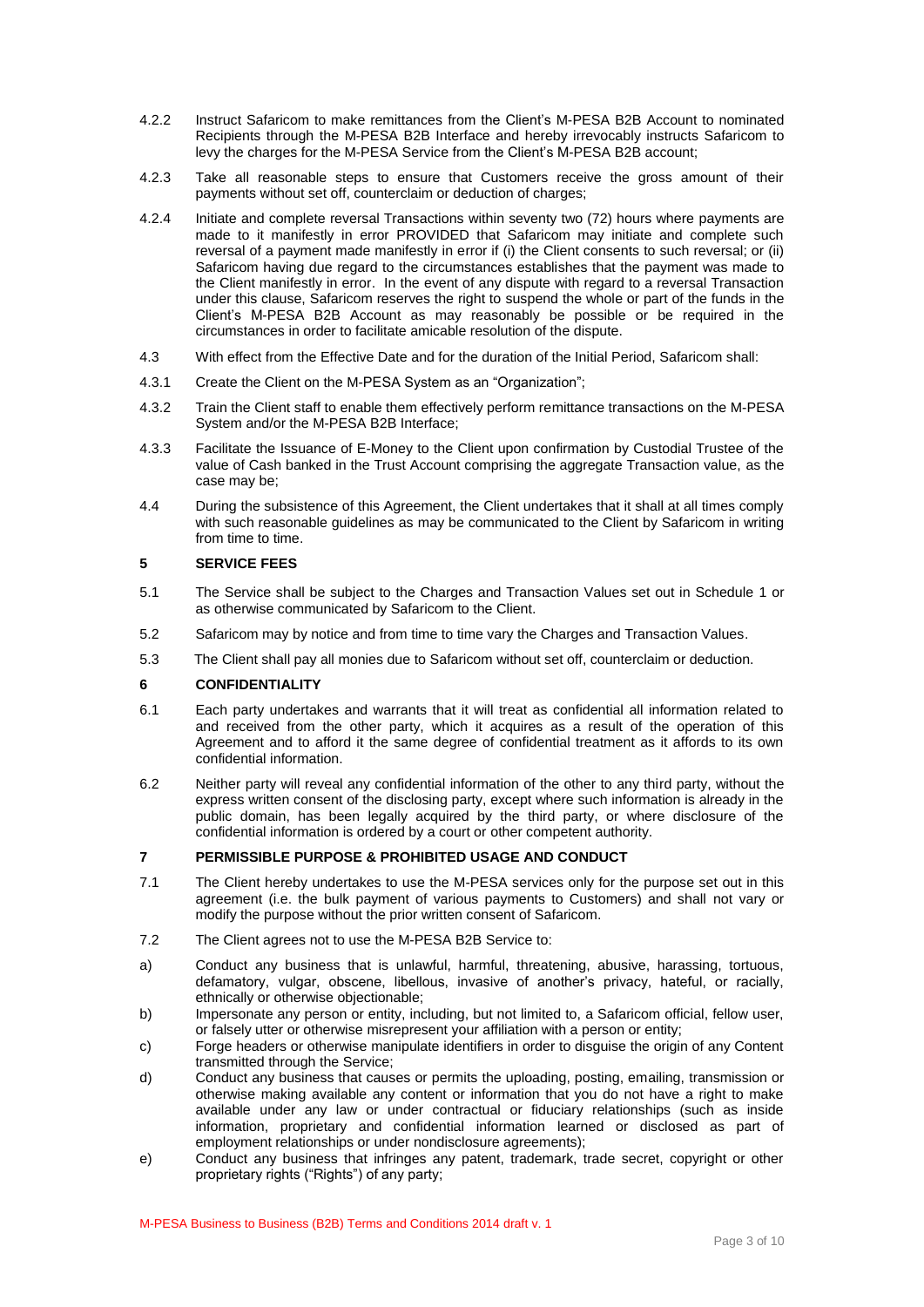- 4.2.2 Instruct Safaricom to make remittances from the Client's M-PESA B2B Account to nominated Recipients through the M-PESA B2B Interface and hereby irrevocably instructs Safaricom to levy the charges for the M-PESA Service from the Client's M-PESA B2B account;
- 4.2.3 Take all reasonable steps to ensure that Customers receive the gross amount of their payments without set off, counterclaim or deduction of charges;
- 4.2.4 Initiate and complete reversal Transactions within seventy two (72) hours where payments are made to it manifestly in error PROVIDED that Safaricom may initiate and complete such reversal of a payment made manifestly in error if (i) the Client consents to such reversal; or (ii) Safaricom having due regard to the circumstances establishes that the payment was made to the Client manifestly in error. In the event of any dispute with regard to a reversal Transaction under this clause, Safaricom reserves the right to suspend the whole or part of the funds in the Client's M-PESA B2B Account as may reasonably be possible or be required in the circumstances in order to facilitate amicable resolution of the dispute.
- 4.3 With effect from the Effective Date and for the duration of the Initial Period, Safaricom shall:
- 4.3.1 Create the Client on the M-PESA System as an "Organization";
- 4.3.2 Train the Client staff to enable them effectively perform remittance transactions on the M-PESA System and/or the M-PESA B2B Interface;
- 4.3.3 Facilitate the Issuance of E-Money to the Client upon confirmation by Custodial Trustee of the value of Cash banked in the Trust Account comprising the aggregate Transaction value, as the case may be;
- 4.4 During the subsistence of this Agreement, the Client undertakes that it shall at all times comply with such reasonable guidelines as may be communicated to the Client by Safaricom in writing from time to time.

#### **5 SERVICE FEES**

- 5.1 The Service shall be subject to the Charges and Transaction Values set out in Schedule 1 or as otherwise communicated by Safaricom to the Client.
- 5.2 Safaricom may by notice and from time to time vary the Charges and Transaction Values.
- 5.3 The Client shall pay all monies due to Safaricom without set off, counterclaim or deduction.

## **6 CONFIDENTIALITY**

- 6.1 Each party undertakes and warrants that it will treat as confidential all information related to and received from the other party, which it acquires as a result of the operation of this Agreement and to afford it the same degree of confidential treatment as it affords to its own confidential information.
- 6.2 Neither party will reveal any confidential information of the other to any third party, without the express written consent of the disclosing party, except where such information is already in the public domain, has been legally acquired by the third party, or where disclosure of the confidential information is ordered by a court or other competent authority.

## **7 PERMISSIBLE PURPOSE & PROHIBITED USAGE AND CONDUCT**

- 7.1 The Client hereby undertakes to use the M-PESA services only for the purpose set out in this agreement (i.e. the bulk payment of various payments to Customers) and shall not vary or modify the purpose without the prior written consent of Safaricom.
- 7.2 The Client agrees not to use the M-PESA B2B Service to:
- a) Conduct any business that is unlawful, harmful, threatening, abusive, harassing, tortuous, defamatory, vulgar, obscene, libellous, invasive of another's privacy, hateful, or racially, ethnically or otherwise objectionable;
- b) Impersonate any person or entity, including, but not limited to, a Safaricom official, fellow user, or falsely utter or otherwise misrepresent your affiliation with a person or entity;
- c) Forge headers or otherwise manipulate identifiers in order to disguise the origin of any Content transmitted through the Service;
- d) Conduct any business that causes or permits the uploading, posting, emailing, transmission or otherwise making available any content or information that you do not have a right to make available under any law or under contractual or fiduciary relationships (such as inside information, proprietary and confidential information learned or disclosed as part of employment relationships or under nondisclosure agreements);
- e) Conduct any business that infringes any patent, trademark, trade secret, copyright or other proprietary rights ("Rights") of any party;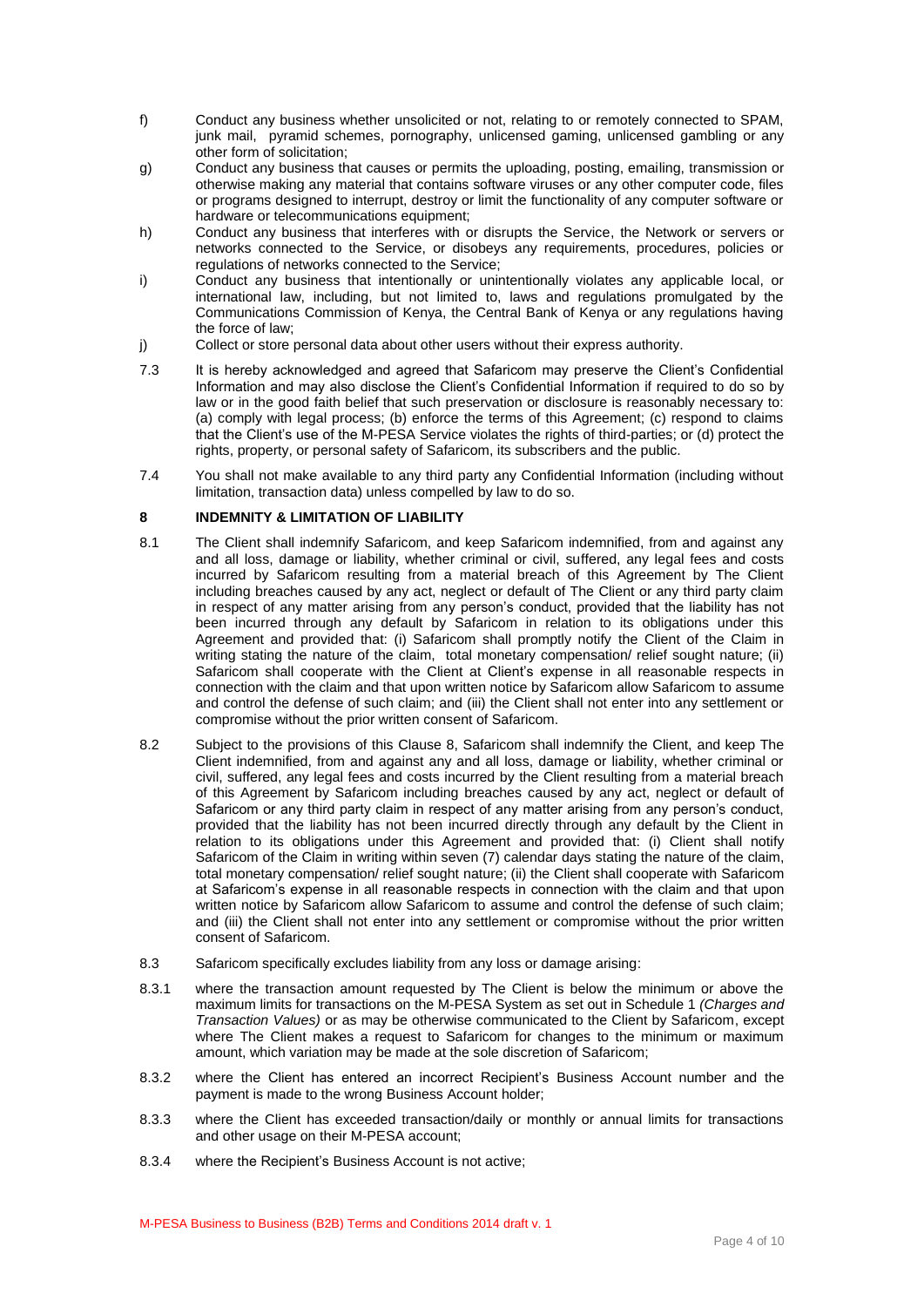- f) Conduct any business whether unsolicited or not, relating to or remotely connected to SPAM, junk mail, pyramid schemes, pornography, unlicensed gaming, unlicensed gambling or any other form of solicitation;
- g) Conduct any business that causes or permits the uploading, posting, emailing, transmission or otherwise making any material that contains software viruses or any other computer code, files or programs designed to interrupt, destroy or limit the functionality of any computer software or hardware or telecommunications equipment;
- h) Conduct any business that interferes with or disrupts the Service, the Network or servers or networks connected to the Service, or disobeys any requirements, procedures, policies or regulations of networks connected to the Service;
- i) Conduct any business that intentionally or unintentionally violates any applicable local, or international law, including, but not limited to, laws and regulations promulgated by the Communications Commission of Kenya, the Central Bank of Kenya or any regulations having the force of law;
- j) Collect or store personal data about other users without their express authority.
- 7.3 It is hereby acknowledged and agreed that Safaricom may preserve the Client's Confidential Information and may also disclose the Client's Confidential Information if required to do so by law or in the good faith belief that such preservation or disclosure is reasonably necessary to: (a) comply with legal process; (b) enforce the terms of this Agreement; (c) respond to claims that the Client's use of the M-PESA Service violates the rights of third-parties; or (d) protect the rights, property, or personal safety of Safaricom, its subscribers and the public.
- 7.4 You shall not make available to any third party any Confidential Information (including without limitation, transaction data) unless compelled by law to do so.

## **8 INDEMNITY & LIMITATION OF LIABILITY**

- 8.1 The Client shall indemnify Safaricom, and keep Safaricom indemnified, from and against any and all loss, damage or liability, whether criminal or civil, suffered, any legal fees and costs incurred by Safaricom resulting from a material breach of this Agreement by The Client including breaches caused by any act, neglect or default of The Client or any third party claim in respect of any matter arising from any person's conduct, provided that the liability has not been incurred through any default by Safaricom in relation to its obligations under this Agreement and provided that: (i) Safaricom shall promptly notify the Client of the Claim in writing stating the nature of the claim, total monetary compensation/ relief sought nature; (ii) Safaricom shall cooperate with the Client at Client's expense in all reasonable respects in connection with the claim and that upon written notice by Safaricom allow Safaricom to assume and control the defense of such claim; and (iii) the Client shall not enter into any settlement or compromise without the prior written consent of Safaricom.
- 8.2 Subject to the provisions of this Clause 8, Safaricom shall indemnify the Client, and keep The Client indemnified, from and against any and all loss, damage or liability, whether criminal or civil, suffered, any legal fees and costs incurred by the Client resulting from a material breach of this Agreement by Safaricom including breaches caused by any act, neglect or default of Safaricom or any third party claim in respect of any matter arising from any person's conduct, provided that the liability has not been incurred directly through any default by the Client in relation to its obligations under this Agreement and provided that: (i) Client shall notify Safaricom of the Claim in writing within seven (7) calendar days stating the nature of the claim, total monetary compensation/ relief sought nature; (ii) the Client shall cooperate with Safaricom at Safaricom's expense in all reasonable respects in connection with the claim and that upon written notice by Safaricom allow Safaricom to assume and control the defense of such claim; and (iii) the Client shall not enter into any settlement or compromise without the prior written consent of Safaricom.
- 8.3 Safaricom specifically excludes liability from any loss or damage arising:
- 8.3.1 where the transaction amount requested by The Client is below the minimum or above the maximum limits for transactions on the M-PESA System as set out in Schedule 1 *(Charges and Transaction Values)* or as may be otherwise communicated to the Client by Safaricom, except where The Client makes a request to Safaricom for changes to the minimum or maximum amount, which variation may be made at the sole discretion of Safaricom;
- 8.3.2 where the Client has entered an incorrect Recipient's Business Account number and the payment is made to the wrong Business Account holder;
- 8.3.3 where the Client has exceeded transaction/daily or monthly or annual limits for transactions and other usage on their M-PESA account;
- 8.3.4 where the Recipient's Business Account is not active;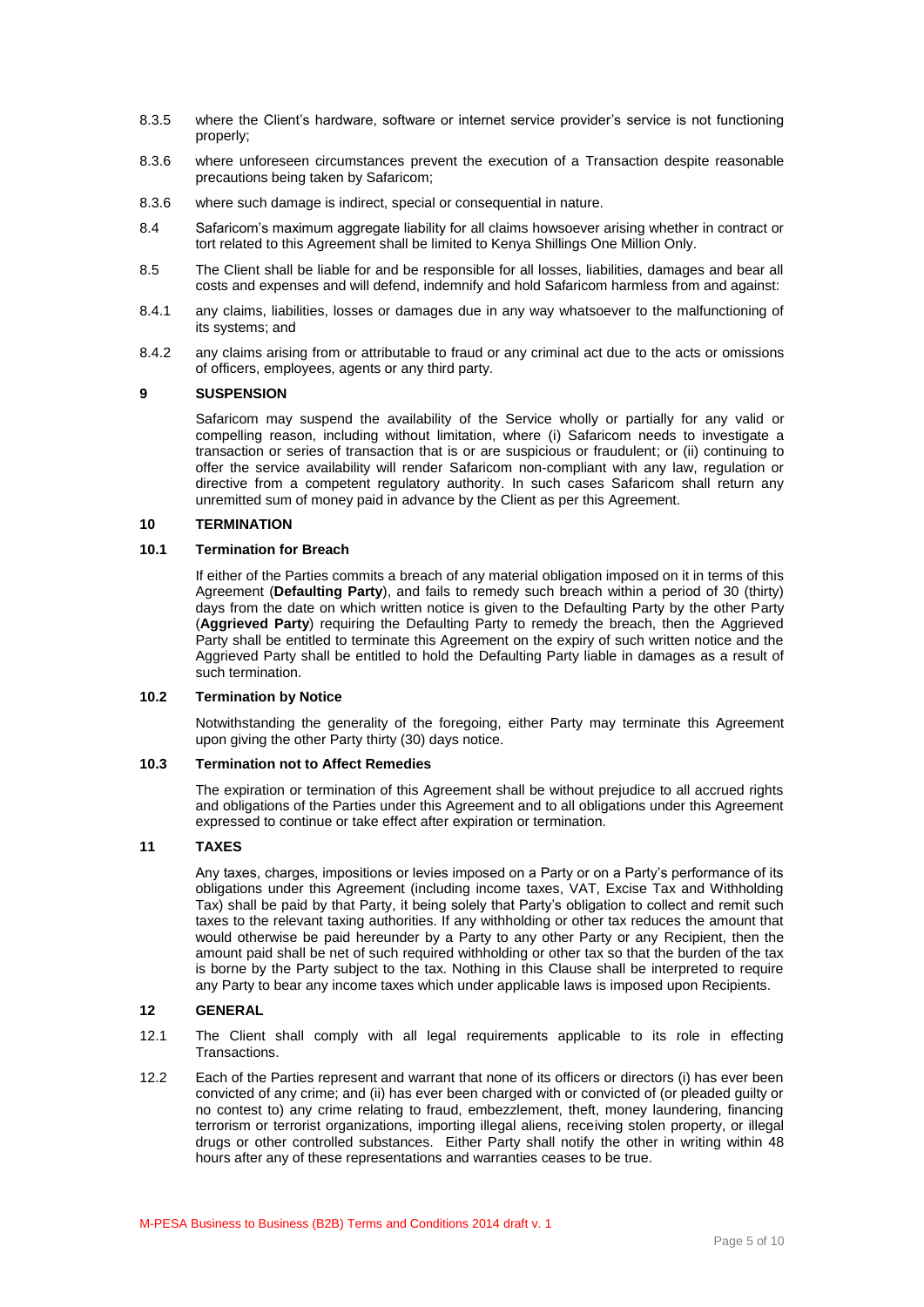- 8.3.5 where the Client's hardware, software or internet service provider's service is not functioning properly;
- 8.3.6 where unforeseen circumstances prevent the execution of a Transaction despite reasonable precautions being taken by Safaricom;
- 8.3.6 where such damage is indirect, special or consequential in nature.
- 8.4 Safaricom's maximum aggregate liability for all claims howsoever arising whether in contract or tort related to this Agreement shall be limited to Kenya Shillings One Million Only.
- 8.5 The Client shall be liable for and be responsible for all losses, liabilities, damages and bear all costs and expenses and will defend, indemnify and hold Safaricom harmless from and against:
- 8.4.1 any claims, liabilities, losses or damages due in any way whatsoever to the malfunctioning of its systems; and
- 8.4.2 any claims arising from or attributable to fraud or any criminal act due to the acts or omissions of officers, employees, agents or any third party.

## **9 SUSPENSION**

Safaricom may suspend the availability of the Service wholly or partially for any valid or compelling reason, including without limitation, where (i) Safaricom needs to investigate a transaction or series of transaction that is or are suspicious or fraudulent; or (ii) continuing to offer the service availability will render Safaricom non-compliant with any law, regulation or directive from a competent regulatory authority. In such cases Safaricom shall return any unremitted sum of money paid in advance by the Client as per this Agreement.

## **10 TERMINATION**

## **10.1 Termination for Breach**

If either of the Parties commits a breach of any material obligation imposed on it in terms of this Agreement (**Defaulting Party**), and fails to remedy such breach within a period of 30 (thirty) days from the date on which written notice is given to the Defaulting Party by the other Party (**Aggrieved Party**) requiring the Defaulting Party to remedy the breach, then the Aggrieved Party shall be entitled to terminate this Agreement on the expiry of such written notice and the Aggrieved Party shall be entitled to hold the Defaulting Party liable in damages as a result of such termination.

## **10.2 Termination by Notice**

Notwithstanding the generality of the foregoing, either Party may terminate this Agreement upon giving the other Party thirty (30) days notice.

## **10.3 Termination not to Affect Remedies**

The expiration or termination of this Agreement shall be without prejudice to all accrued rights and obligations of the Parties under this Agreement and to all obligations under this Agreement expressed to continue or take effect after expiration or termination.

## **11 TAXES**

Any taxes, charges, impositions or levies imposed on a Party or on a Party's performance of its obligations under this Agreement (including income taxes, VAT, Excise Tax and Withholding Tax) shall be paid by that Party, it being solely that Party's obligation to collect and remit such taxes to the relevant taxing authorities. If any withholding or other tax reduces the amount that would otherwise be paid hereunder by a Party to any other Party or any Recipient, then the amount paid shall be net of such required withholding or other tax so that the burden of the tax is borne by the Party subject to the tax. Nothing in this Clause shall be interpreted to require any Party to bear any income taxes which under applicable laws is imposed upon Recipients.

## **12 GENERAL**

- 12.1 The Client shall comply with all legal requirements applicable to its role in effecting **Transactions.**
- 12.2 Each of the Parties represent and warrant that none of its officers or directors (i) has ever been convicted of any crime; and (ii) has ever been charged with or convicted of (or pleaded guilty or no contest to) any crime relating to fraud, embezzlement, theft, money laundering, financing terrorism or terrorist organizations, importing illegal aliens, receiving stolen property, or illegal drugs or other controlled substances. Either Party shall notify the other in writing within 48 hours after any of these representations and warranties ceases to be true.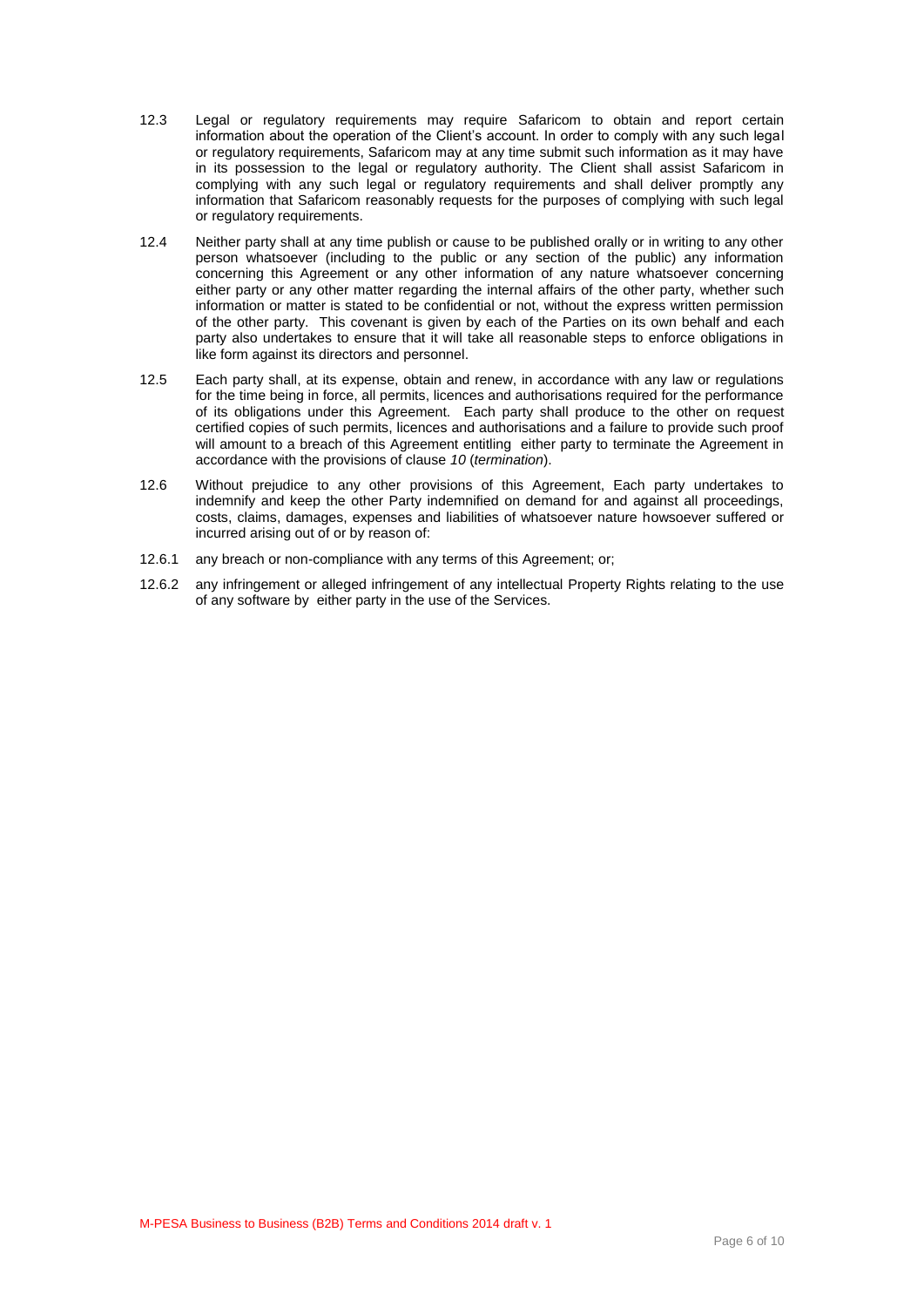- 12.3 Legal or regulatory requirements may require Safaricom to obtain and report certain information about the operation of the Client's account. In order to comply with any such legal or regulatory requirements, Safaricom may at any time submit such information as it may have in its possession to the legal or regulatory authority. The Client shall assist Safaricom in complying with any such legal or regulatory requirements and shall deliver promptly any information that Safaricom reasonably requests for the purposes of complying with such legal or regulatory requirements.
- 12.4 Neither party shall at any time publish or cause to be published orally or in writing to any other person whatsoever (including to the public or any section of the public) any information concerning this Agreement or any other information of any nature whatsoever concerning either party or any other matter regarding the internal affairs of the other party, whether such information or matter is stated to be confidential or not, without the express written permission of the other party. This covenant is given by each of the Parties on its own behalf and each party also undertakes to ensure that it will take all reasonable steps to enforce obligations in like form against its directors and personnel.
- 12.5 Each party shall, at its expense, obtain and renew, in accordance with any law or regulations for the time being in force, all permits, licences and authorisations required for the performance of its obligations under this Agreement. Each party shall produce to the other on request certified copies of such permits, licences and authorisations and a failure to provide such proof will amount to a breach of this Agreement entitling either party to terminate the Agreement in accordance with the provisions of clause *10* (*termination*).
- 12.6 Without prejudice to any other provisions of this Agreement, Each party undertakes to indemnify and keep the other Party indemnified on demand for and against all proceedings, costs, claims, damages, expenses and liabilities of whatsoever nature howsoever suffered or incurred arising out of or by reason of:
- 12.6.1 any breach or non-compliance with any terms of this Agreement; or;
- 12.6.2 any infringement or alleged infringement of any intellectual Property Rights relating to the use of any software by either party in the use of the Services.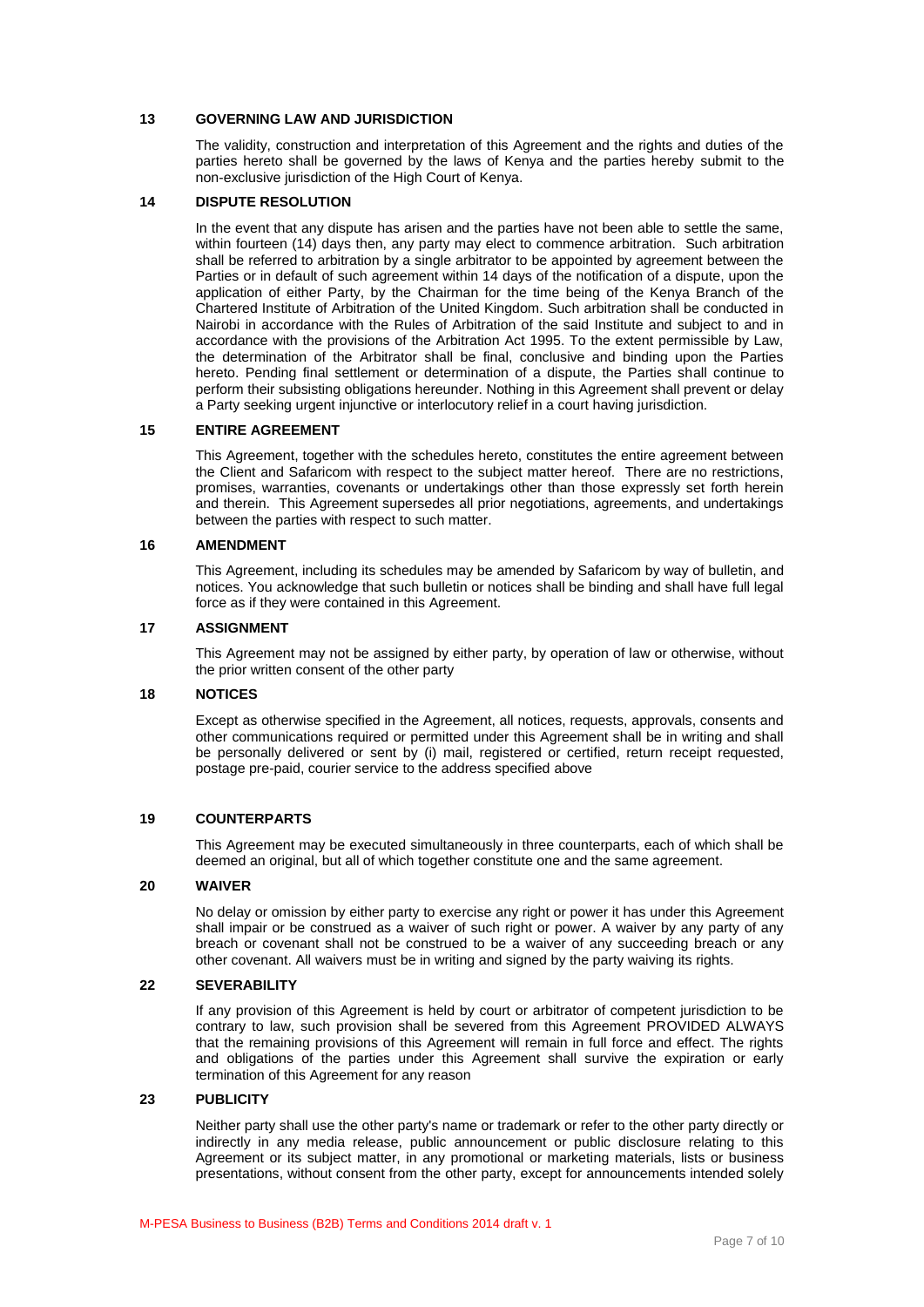## **13 GOVERNING LAW AND JURISDICTION**

The validity, construction and interpretation of this Agreement and the rights and duties of the parties hereto shall be governed by the laws of Kenya and the parties hereby submit to the non-exclusive jurisdiction of the High Court of Kenya.

## **14 DISPUTE RESOLUTION**

In the event that any dispute has arisen and the parties have not been able to settle the same, within fourteen (14) days then, any party may elect to commence arbitration. Such arbitration shall be referred to arbitration by a single arbitrator to be appointed by agreement between the Parties or in default of such agreement within 14 days of the notification of a dispute, upon the application of either Party, by the Chairman for the time being of the Kenya Branch of the Chartered Institute of Arbitration of the United Kingdom. Such arbitration shall be conducted in Nairobi in accordance with the Rules of Arbitration of the said Institute and subject to and in accordance with the provisions of the Arbitration Act 1995. To the extent permissible by Law, the determination of the Arbitrator shall be final, conclusive and binding upon the Parties hereto. Pending final settlement or determination of a dispute, the Parties shall continue to perform their subsisting obligations hereunder. Nothing in this Agreement shall prevent or delay a Party seeking urgent injunctive or interlocutory relief in a court having jurisdiction.

## **15 ENTIRE AGREEMENT**

This Agreement, together with the schedules hereto, constitutes the entire agreement between the Client and Safaricom with respect to the subject matter hereof. There are no restrictions, promises, warranties, covenants or undertakings other than those expressly set forth herein and therein. This Agreement supersedes all prior negotiations, agreements, and undertakings between the parties with respect to such matter.

#### **16 AMENDMENT**

This Agreement, including its schedules may be amended by Safaricom by way of bulletin, and notices. You acknowledge that such bulletin or notices shall be binding and shall have full legal force as if they were contained in this Agreement.

#### **17 ASSIGNMENT**

This Agreement may not be assigned by either party, by operation of law or otherwise, without the prior written consent of the other party

## **18 NOTICES**

Except as otherwise specified in the Agreement, all notices, requests, approvals, consents and other communications required or permitted under this Agreement shall be in writing and shall be personally delivered or sent by (i) mail, registered or certified, return receipt requested, postage pre-paid, courier service to the address specified above

## **19 COUNTERPARTS**

This Agreement may be executed simultaneously in three counterparts, each of which shall be deemed an original, but all of which together constitute one and the same agreement.

## **20 WAIVER**

No delay or omission by either party to exercise any right or power it has under this Agreement shall impair or be construed as a waiver of such right or power. A waiver by any party of any breach or covenant shall not be construed to be a waiver of any succeeding breach or any other covenant. All waivers must be in writing and signed by the party waiving its rights.

## **22 SEVERABILITY**

If any provision of this Agreement is held by court or arbitrator of competent jurisdiction to be contrary to law, such provision shall be severed from this Agreement PROVIDED ALWAYS that the remaining provisions of this Agreement will remain in full force and effect. The rights and obligations of the parties under this Agreement shall survive the expiration or early termination of this Agreement for any reason

#### **23 PUBLICITY**

Neither party shall use the other party's name or trademark or refer to the other party directly or indirectly in any media release, public announcement or public disclosure relating to this Agreement or its subject matter, in any promotional or marketing materials, lists or business presentations, without consent from the other party, except for announcements intended solely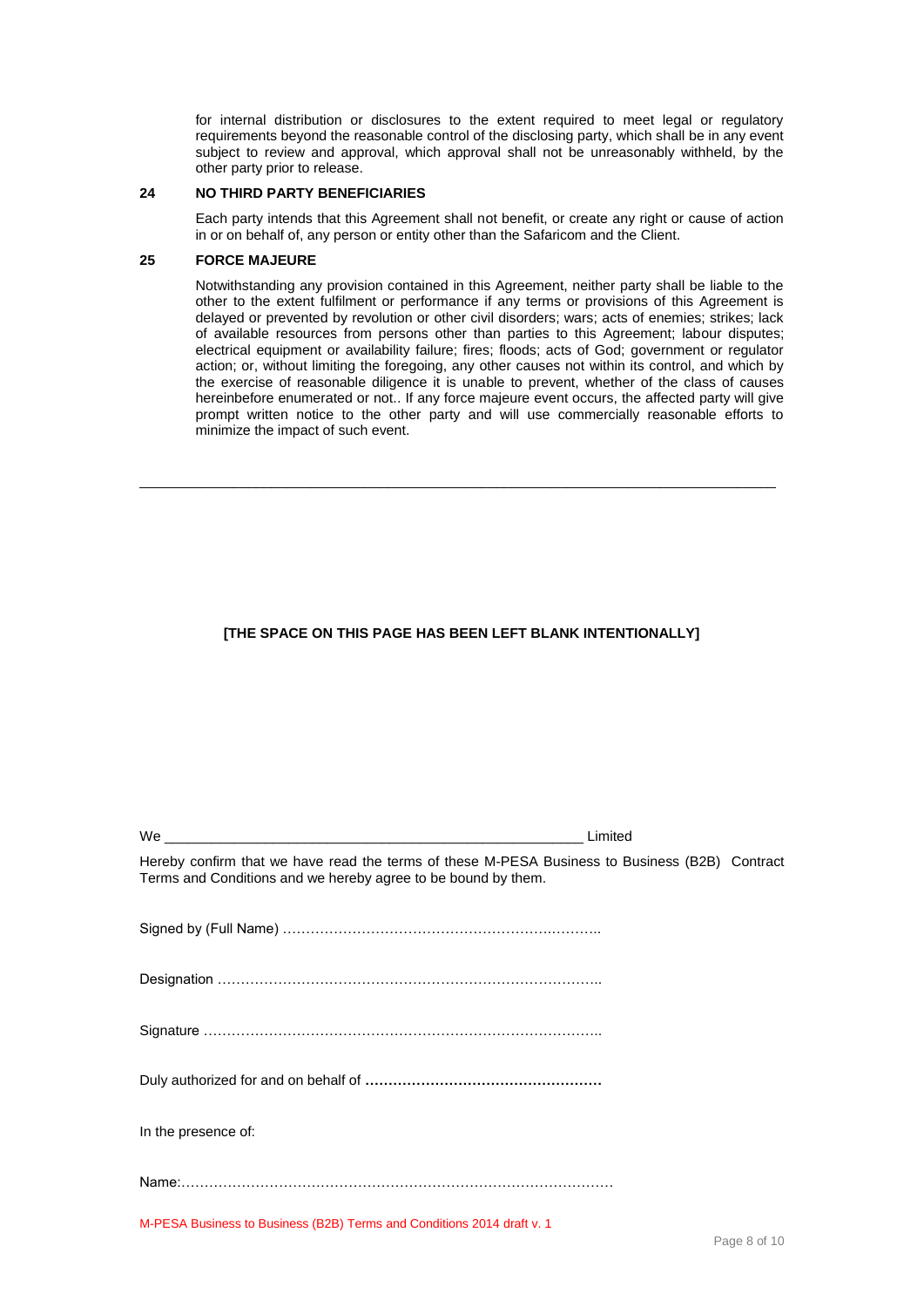for internal distribution or disclosures to the extent required to meet legal or regulatory requirements beyond the reasonable control of the disclosing party, which shall be in any event subject to review and approval, which approval shall not be unreasonably withheld, by the other party prior to release.

#### **24 NO THIRD PARTY BENEFICIARIES**

Each party intends that this Agreement shall not benefit, or create any right or cause of action in or on behalf of, any person or entity other than the Safaricom and the Client.

## **25 FORCE MAJEURE**

Notwithstanding any provision contained in this Agreement, neither party shall be liable to the other to the extent fulfilment or performance if any terms or provisions of this Agreement is delayed or prevented by revolution or other civil disorders; wars; acts of enemies; strikes; lack of available resources from persons other than parties to this Agreement; labour disputes; electrical equipment or availability failure; fires; floods; acts of God; government or regulator action; or, without limiting the foregoing, any other causes not within its control, and which by the exercise of reasonable diligence it is unable to prevent, whether of the class of causes hereinbefore enumerated or not.. If any force majeure event occurs, the affected party will give prompt written notice to the other party and will use commercially reasonable efforts to minimize the impact of such event.

## **[THE SPACE ON THIS PAGE HAS BEEN LEFT BLANK INTENTIONALLY]**

\_\_\_\_\_\_\_\_\_\_\_\_\_\_\_\_\_\_\_\_\_\_\_\_\_\_\_\_\_\_\_\_\_\_\_\_\_\_\_\_\_\_\_\_\_\_\_\_\_\_\_\_\_\_\_\_\_\_\_\_\_\_\_\_\_\_\_\_\_\_\_\_\_\_\_\_\_\_\_\_\_\_

|                                                                                                                                                                 | Limited |  |
|-----------------------------------------------------------------------------------------------------------------------------------------------------------------|---------|--|
| Hereby confirm that we have read the terms of these M-PESA Business to Business (B2B) Contract<br>Terms and Conditions and we hereby agree to be bound by them. |         |  |
|                                                                                                                                                                 |         |  |
|                                                                                                                                                                 |         |  |
|                                                                                                                                                                 |         |  |
|                                                                                                                                                                 |         |  |
| In the presence of:                                                                                                                                             |         |  |
|                                                                                                                                                                 |         |  |
| M-PESA Business to Business (B2B) Terms and Conditions 2014 draft v. 1                                                                                          |         |  |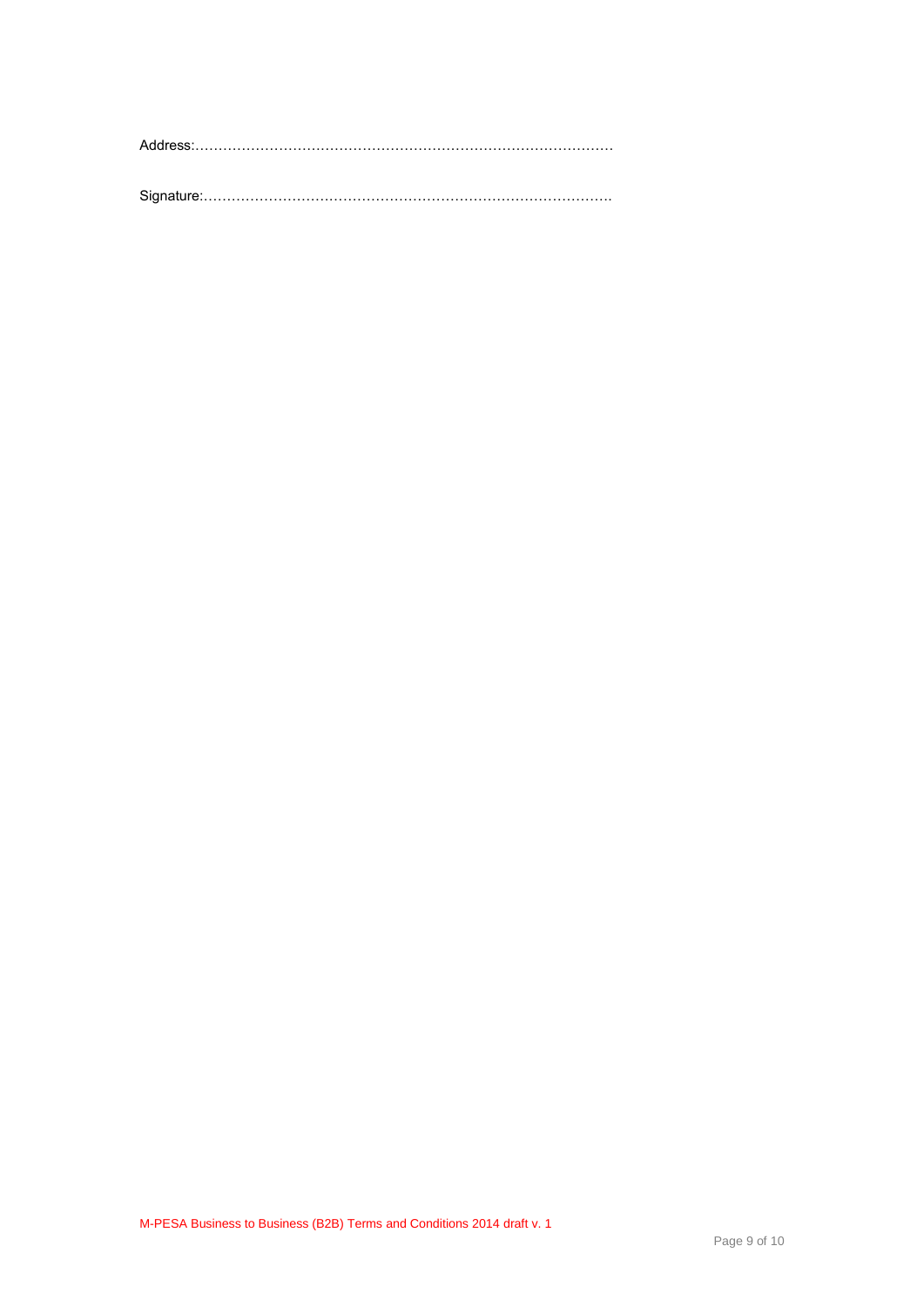Address:………………………………………………………………………………

Signature:…………………………………………………………………………….